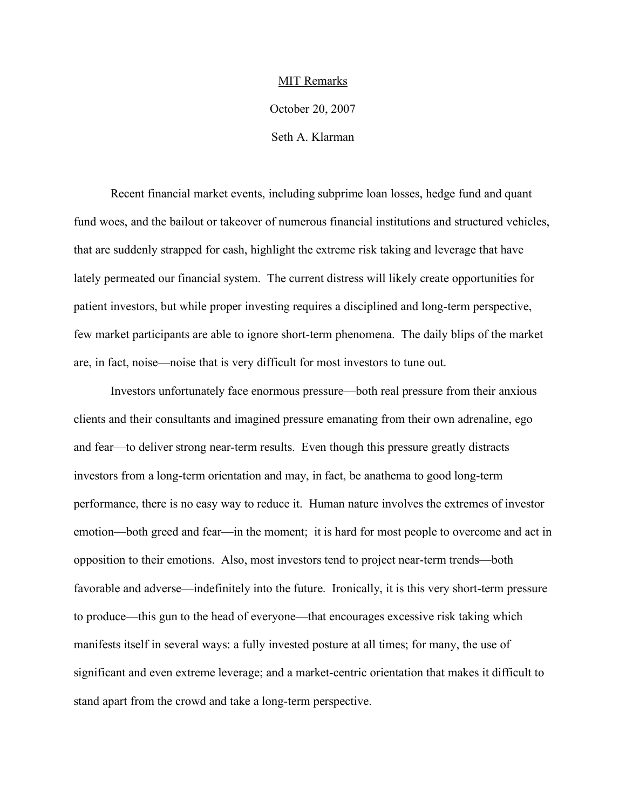## MIT Remarks

October 20, 2007

Seth A. Klarman

Recent financial market events, including subprime loan losses, hedge fund and quant fund woes, and the bailout or takeover of numerous financial institutions and structured vehicles, that are suddenly strapped for cash, highlight the extreme risk taking and leverage that have lately permeated our financial system. The current distress will likely create opportunities for patient investors, but while proper investing requires a disciplined and long-term perspective, few market participants are able to ignore short-term phenomena. The daily blips of the market are, in fact, noise—noise that is very difficult for most investors to tune out.

Investors unfortunately face enormous pressure—both real pressure from their anxious clients and their consultants and imagined pressure emanating from their own adrenaline, ego and fear—to deliver strong near-term results. Even though this pressure greatly distracts investors from a long-term orientation and may, in fact, be anathema to good long-term performance, there is no easy way to reduce it. Human nature involves the extremes of investor emotion—both greed and fear—in the moment; it is hard for most people to overcome and act in opposition to their emotions. Also, most investors tend to project near-term trends—both favorable and adverse—indefinitely into the future. Ironically, it is this very short-term pressure to produce—this gun to the head of everyone—that encourages excessive risk taking which manifests itself in several ways: a fully invested posture at all times; for many, the use of significant and even extreme leverage; and a market-centric orientation that makes it difficult to stand apart from the crowd and take a long-term perspective.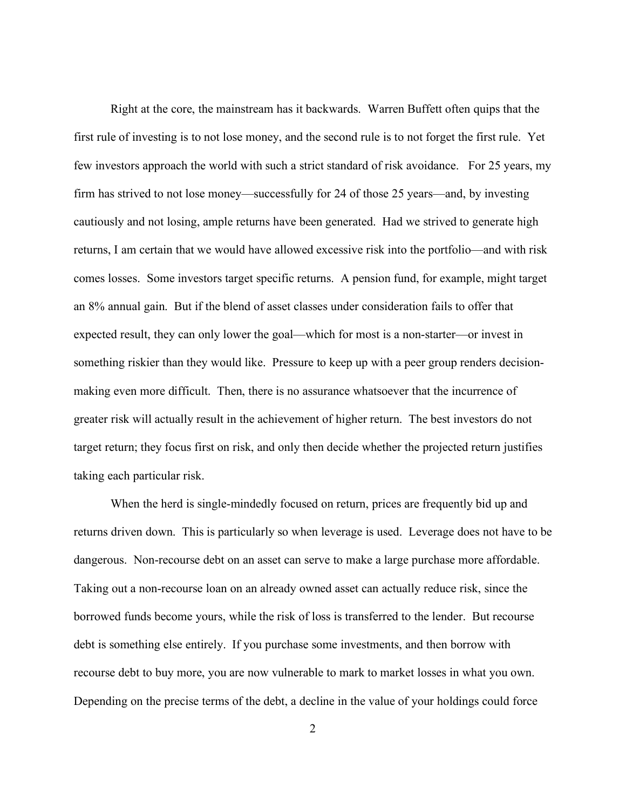Right at the core, the mainstream has it backwards. Warren Buffett often quips that the first rule of investing is to not lose money, and the second rule is to not forget the first rule. Yet few investors approach the world with such a strict standard of risk avoidance. For 25 years, my firm has strived to not lose money—successfully for 24 of those 25 years—and, by investing cautiously and not losing, ample returns have been generated. Had we strived to generate high returns, I am certain that we would have allowed excessive risk into the portfolio—and with risk comes losses. Some investors target specific returns. A pension fund, for example, might target an 8% annual gain. But if the blend of asset classes under consideration fails to offer that expected result, they can only lower the goal—which for most is a non-starter—or invest in something riskier than they would like. Pressure to keep up with a peer group renders decisionmaking even more difficult. Then, there is no assurance whatsoever that the incurrence of greater risk will actually result in the achievement of higher return. The best investors do not target return; they focus first on risk, and only then decide whether the projected return justifies taking each particular risk.

When the herd is single-mindedly focused on return, prices are frequently bid up and returns driven down. This is particularly so when leverage is used. Leverage does not have to be dangerous. Non-recourse debt on an asset can serve to make a large purchase more affordable. Taking out a non-recourse loan on an already owned asset can actually reduce risk, since the borrowed funds become yours, while the risk of loss is transferred to the lender. But recourse debt is something else entirely. If you purchase some investments, and then borrow with recourse debt to buy more, you are now vulnerable to mark to market losses in what you own. Depending on the precise terms of the debt, a decline in the value of your holdings could force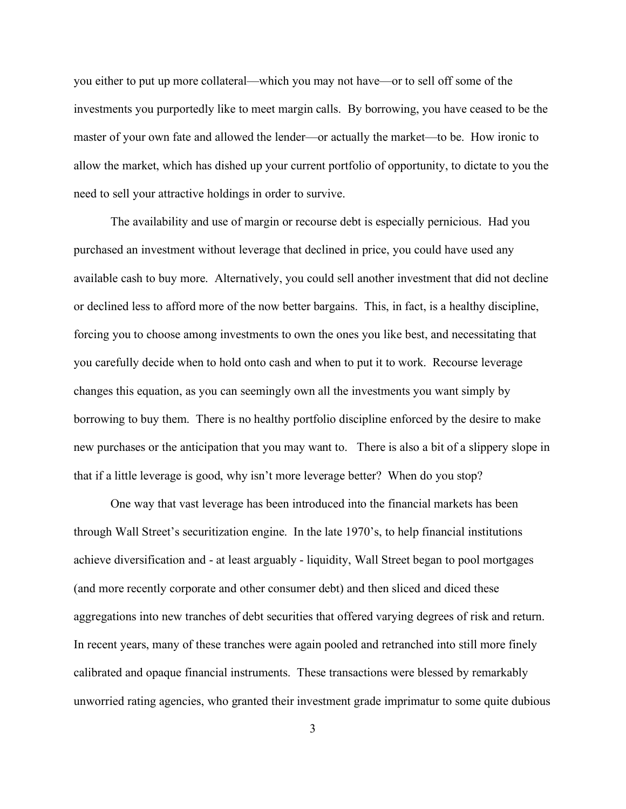you either to put up more collateral—which you may not have—or to sell off some of the investments you purportedly like to meet margin calls. By borrowing, you have ceased to be the master of your own fate and allowed the lender—or actually the market—to be. How ironic to allow the market, which has dished up your current portfolio of opportunity, to dictate to you the need to sell your attractive holdings in order to survive.

The availability and use of margin or recourse debt is especially pernicious. Had you purchased an investment without leverage that declined in price, you could have used any available cash to buy more. Alternatively, you could sell another investment that did not decline or declined less to afford more of the now better bargains. This, in fact, is a healthy discipline, forcing you to choose among investments to own the ones you like best, and necessitating that you carefully decide when to hold onto cash and when to put it to work. Recourse leverage changes this equation, as you can seemingly own all the investments you want simply by borrowing to buy them. There is no healthy portfolio discipline enforced by the desire to make new purchases or the anticipation that you may want to. There is also a bit of a slippery slope in that if a little leverage is good, why isn't more leverage better? When do you stop?

One way that vast leverage has been introduced into the financial markets has been through Wall Street's securitization engine. In the late 1970's, to help financial institutions achieve diversification and - at least arguably - liquidity, Wall Street began to pool mortgages (and more recently corporate and other consumer debt) and then sliced and diced these aggregations into new tranches of debt securities that offered varying degrees of risk and return. In recent years, many of these tranches were again pooled and retranched into still more finely calibrated and opaque financial instruments. These transactions were blessed by remarkably unworried rating agencies, who granted their investment grade imprimatur to some quite dubious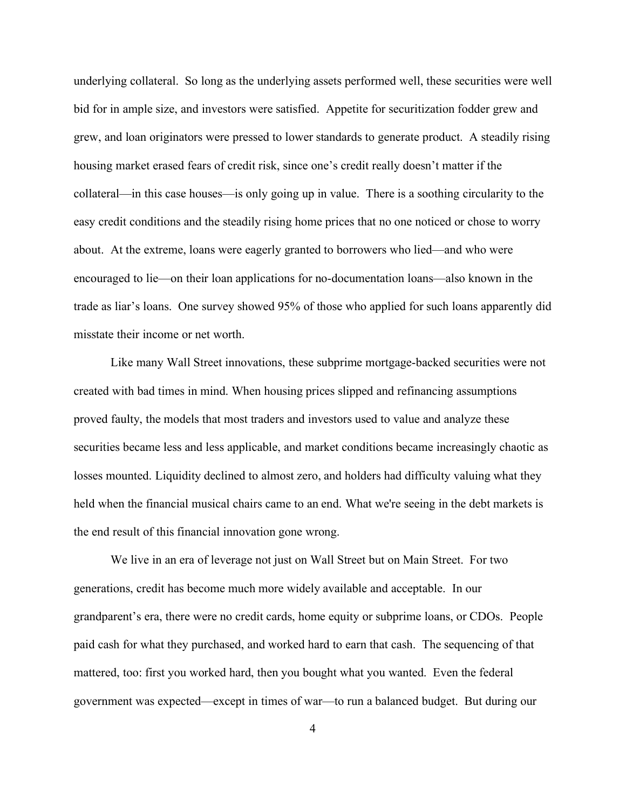underlying collateral. So long as the underlying assets performed well, these securities were well bid for in ample size, and investors were satisfied. Appetite for securitization fodder grew and grew, and loan originators were pressed to lower standards to generate product. A steadily rising housing market erased fears of credit risk, since one's credit really doesn't matter if the collateral—in this case houses—is only going up in value. There is a soothing circularity to the easy credit conditions and the steadily rising home prices that no one noticed or chose to worry about. At the extreme, loans were eagerly granted to borrowers who lied—and who were encouraged to lie—on their loan applications for no-documentation loans—also known in the trade as liar's loans. One survey showed 95% of those who applied for such loans apparently did misstate their income or net worth.

Like many Wall Street innovations, these subprime mortgage-backed securities were not created with bad times in mind. When housing prices slipped and refinancing assumptions proved faulty, the models that most traders and investors used to value and analyze these securities became less and less applicable, and market conditions became increasingly chaotic as losses mounted. Liquidity declined to almost zero, and holders had difficulty valuing what they held when the financial musical chairs came to an end. What we're seeing in the debt markets is the end result of this financial innovation gone wrong.

We live in an era of leverage not just on Wall Street but on Main Street. For two generations, credit has become much more widely available and acceptable. In our grandparent's era, there were no credit cards, home equity or subprime loans, or CDOs. People paid cash for what they purchased, and worked hard to earn that cash. The sequencing of that mattered, too: first you worked hard, then you bought what you wanted. Even the federal government was expected—except in times of war—to run a balanced budget. But during our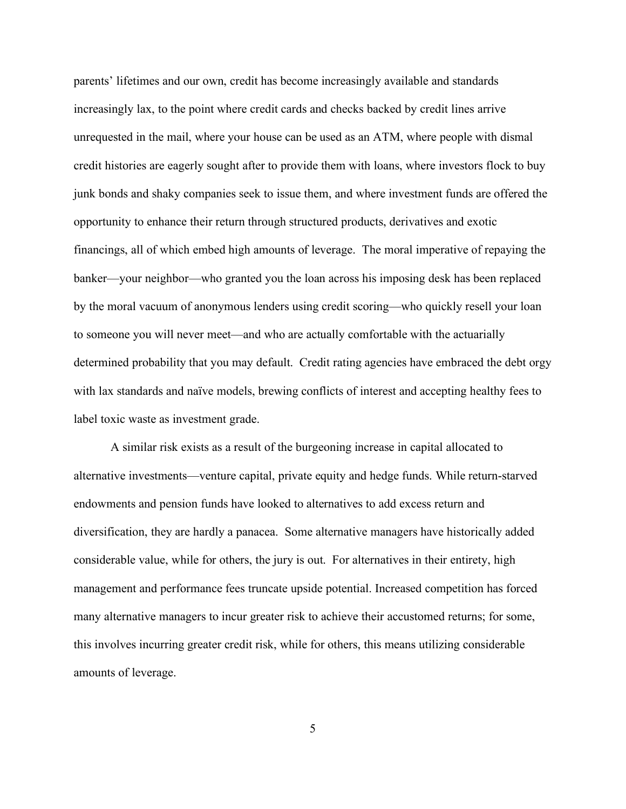parents' lifetimes and our own, credit has become increasingly available and standards increasingly lax, to the point where credit cards and checks backed by credit lines arrive unrequested in the mail, where your house can be used as an ATM, where people with dismal credit histories are eagerly sought after to provide them with loans, where investors flock to buy junk bonds and shaky companies seek to issue them, and where investment funds are offered the opportunity to enhance their return through structured products, derivatives and exotic financings, all of which embed high amounts of leverage. The moral imperative of repaying the banker—your neighbor—who granted you the loan across his imposing desk has been replaced by the moral vacuum of anonymous lenders using credit scoring—who quickly resell your loan to someone you will never meet—and who are actually comfortable with the actuarially determined probability that you may default. Credit rating agencies have embraced the debt orgy with lax standards and naïve models, brewing conflicts of interest and accepting healthy fees to label toxic waste as investment grade.

A similar risk exists as a result of the burgeoning increase in capital allocated to alternative investments—venture capital, private equity and hedge funds. While return-starved endowments and pension funds have looked to alternatives to add excess return and diversification, they are hardly a panacea. Some alternative managers have historically added considerable value, while for others, the jury is out. For alternatives in their entirety, high management and performance fees truncate upside potential. Increased competition has forced many alternative managers to incur greater risk to achieve their accustomed returns; for some, this involves incurring greater credit risk, while for others, this means utilizing considerable amounts of leverage.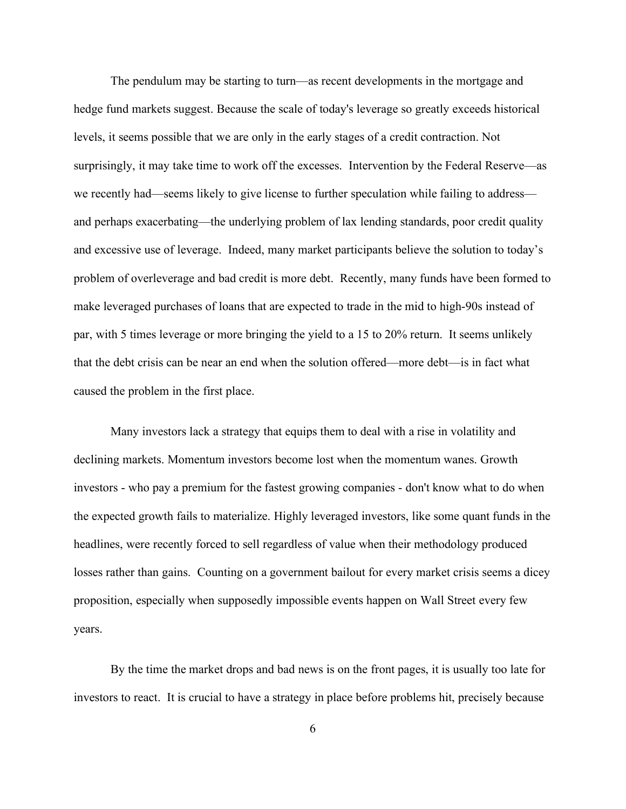The pendulum may be starting to turn—as recent developments in the mortgage and hedge fund markets suggest. Because the scale of today's leverage so greatly exceeds historical levels, it seems possible that we are only in the early stages of a credit contraction. Not surprisingly, it may take time to work off the excesses. Intervention by the Federal Reserve—as we recently had—seems likely to give license to further speculation while failing to address and perhaps exacerbating—the underlying problem of lax lending standards, poor credit quality and excessive use of leverage. Indeed, many market participants believe the solution to today's problem of overleverage and bad credit is more debt. Recently, many funds have been formed to make leveraged purchases of loans that are expected to trade in the mid to high-90s instead of par, with 5 times leverage or more bringing the yield to a 15 to 20% return. It seems unlikely that the debt crisis can be near an end when the solution offered—more debt—is in fact what caused the problem in the first place.

Many investors lack a strategy that equips them to deal with a rise in volatility and declining markets. Momentum investors become lost when the momentum wanes. Growth investors - who pay a premium for the fastest growing companies - don't know what to do when the expected growth fails to materialize. Highly leveraged investors, like some quant funds in the headlines, were recently forced to sell regardless of value when their methodology produced losses rather than gains. Counting on a government bailout for every market crisis seems a dicey proposition, especially when supposedly impossible events happen on Wall Street every few years.

By the time the market drops and bad news is on the front pages, it is usually too late for investors to react. It is crucial to have a strategy in place before problems hit, precisely because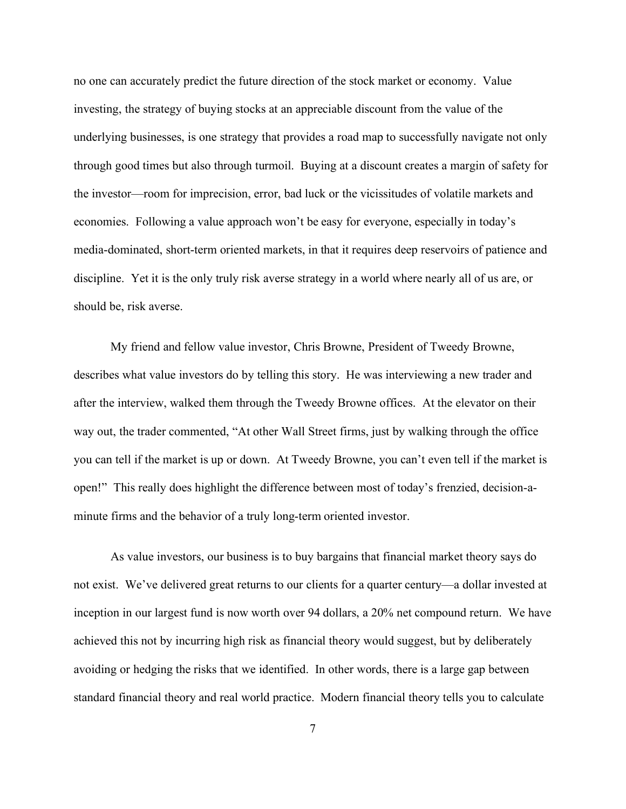no one can accurately predict the future direction of the stock market or economy. Value investing, the strategy of buying stocks at an appreciable discount from the value of the underlying businesses, is one strategy that provides a road map to successfully navigate not only through good times but also through turmoil. Buying at a discount creates a margin of safety for the investor—room for imprecision, error, bad luck or the vicissitudes of volatile markets and economies. Following a value approach won't be easy for everyone, especially in today's media-dominated, short-term oriented markets, in that it requires deep reservoirs of patience and discipline. Yet it is the only truly risk averse strategy in a world where nearly all of us are, or should be, risk averse.

My friend and fellow value investor, Chris Browne, President of Tweedy Browne, describes what value investors do by telling this story. He was interviewing a new trader and after the interview, walked them through the Tweedy Browne offices. At the elevator on their way out, the trader commented, "At other Wall Street firms, just by walking through the office you can tell if the market is up or down. At Tweedy Browne, you can't even tell if the market is open!" This really does highlight the difference between most of today's frenzied, decision-aminute firms and the behavior of a truly long-term oriented investor.

As value investors, our business is to buy bargains that financial market theory says do not exist. We've delivered great returns to our clients for a quarter century—a dollar invested at inception in our largest fund is now worth over 94 dollars, a 20% net compound return. We have achieved this not by incurring high risk as financial theory would suggest, but by deliberately avoiding or hedging the risks that we identified. In other words, there is a large gap between standard financial theory and real world practice. Modern financial theory tells you to calculate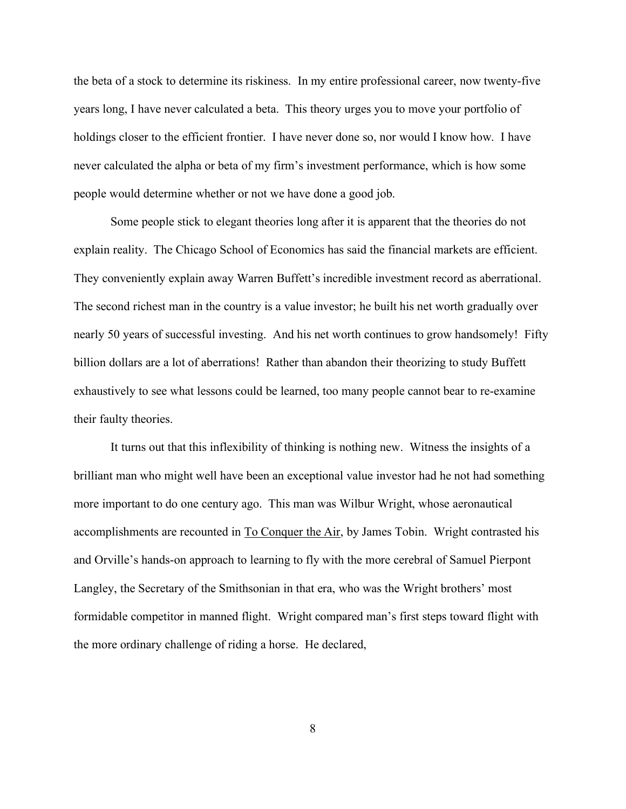the beta of a stock to determine its riskiness. In my entire professional career, now twenty-five years long, I have never calculated a beta. This theory urges you to move your portfolio of holdings closer to the efficient frontier. I have never done so, nor would I know how. I have never calculated the alpha or beta of my firm's investment performance, which is how some people would determine whether or not we have done a good job.

Some people stick to elegant theories long after it is apparent that the theories do not explain reality. The Chicago School of Economics has said the financial markets are efficient. They conveniently explain away Warren Buffett's incredible investment record as aberrational. The second richest man in the country is a value investor; he built his net worth gradually over nearly 50 years of successful investing. And his net worth continues to grow handsomely! Fifty billion dollars are a lot of aberrations! Rather than abandon their theorizing to study Buffett exhaustively to see what lessons could be learned, too many people cannot bear to re-examine their faulty theories.

It turns out that this inflexibility of thinking is nothing new. Witness the insights of a brilliant man who might well have been an exceptional value investor had he not had something more important to do one century ago. This man was Wilbur Wright, whose aeronautical accomplishments are recounted in To Conquer the Air, by James Tobin. Wright contrasted his and Orville's hands-on approach to learning to fly with the more cerebral of Samuel Pierpont Langley, the Secretary of the Smithsonian in that era, who was the Wright brothers' most formidable competitor in manned flight. Wright compared man's first steps toward flight with the more ordinary challenge of riding a horse. He declared,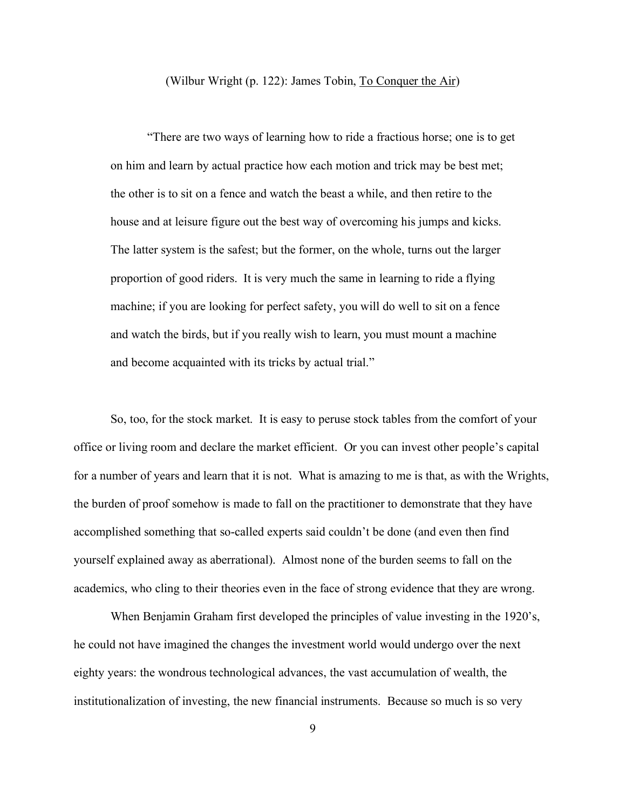## (Wilbur Wright (p. 122): James Tobin, To Conquer the Air)

"There are two ways of learning how to ride a fractious horse; one is to get on him and learn by actual practice how each motion and trick may be best met; the other is to sit on a fence and watch the beast a while, and then retire to the house and at leisure figure out the best way of overcoming his jumps and kicks. The latter system is the safest; but the former, on the whole, turns out the larger proportion of good riders. It is very much the same in learning to ride a flying machine; if you are looking for perfect safety, you will do well to sit on a fence and watch the birds, but if you really wish to learn, you must mount a machine and become acquainted with its tricks by actual trial."

So, too, for the stock market. It is easy to peruse stock tables from the comfort of your office or living room and declare the market efficient. Or you can invest other people's capital for a number of years and learn that it is not. What is amazing to me is that, as with the Wrights, the burden of proof somehow is made to fall on the practitioner to demonstrate that they have accomplished something that so-called experts said couldn't be done (and even then find yourself explained away as aberrational). Almost none of the burden seems to fall on the academics, who cling to their theories even in the face of strong evidence that they are wrong.

When Benjamin Graham first developed the principles of value investing in the 1920's, he could not have imagined the changes the investment world would undergo over the next eighty years: the wondrous technological advances, the vast accumulation of wealth, the institutionalization of investing, the new financial instruments. Because so much is so very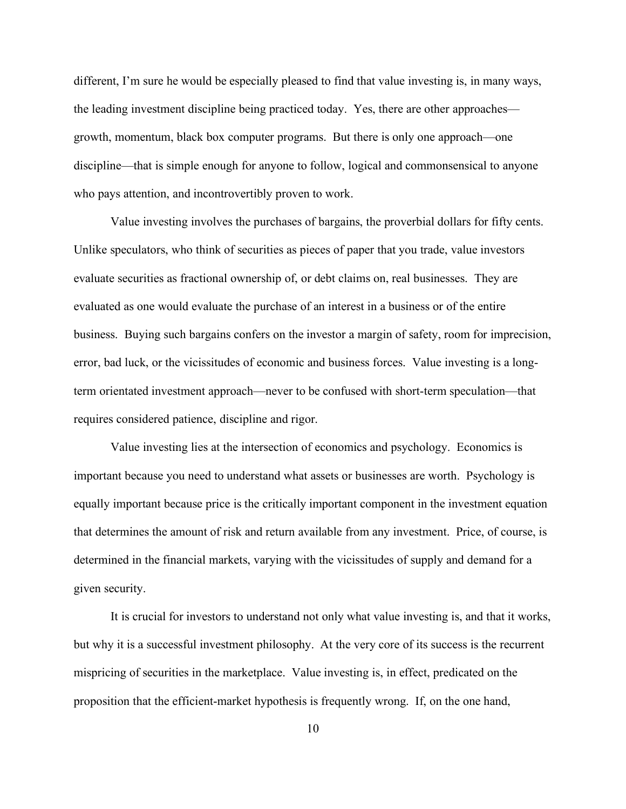different, I'm sure he would be especially pleased to find that value investing is, in many ways, the leading investment discipline being practiced today. Yes, there are other approaches growth, momentum, black box computer programs. But there is only one approach—one discipline—that is simple enough for anyone to follow, logical and commonsensical to anyone who pays attention, and incontrovertibly proven to work.

Value investing involves the purchases of bargains, the proverbial dollars for fifty cents. Unlike speculators, who think of securities as pieces of paper that you trade, value investors evaluate securities as fractional ownership of, or debt claims on, real businesses. They are evaluated as one would evaluate the purchase of an interest in a business or of the entire business. Buying such bargains confers on the investor a margin of safety, room for imprecision, error, bad luck, or the vicissitudes of economic and business forces. Value investing is a longterm orientated investment approach—never to be confused with short-term speculation—that requires considered patience, discipline and rigor.

Value investing lies at the intersection of economics and psychology. Economics is important because you need to understand what assets or businesses are worth. Psychology is equally important because price is the critically important component in the investment equation that determines the amount of risk and return available from any investment. Price, of course, is determined in the financial markets, varying with the vicissitudes of supply and demand for a given security.

It is crucial for investors to understand not only what value investing is, and that it works, but why it is a successful investment philosophy. At the very core of its success is the recurrent mispricing of securities in the marketplace. Value investing is, in effect, predicated on the proposition that the efficient-market hypothesis is frequently wrong. If, on the one hand,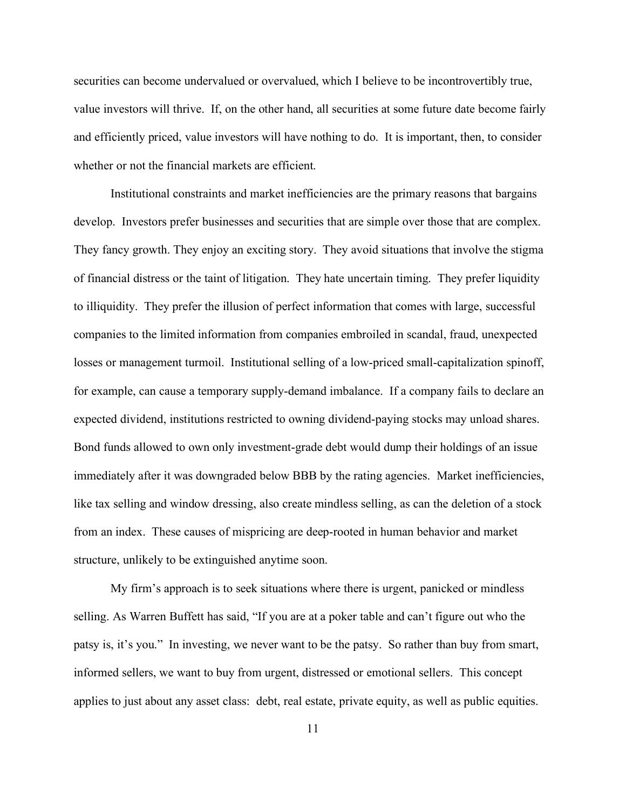securities can become undervalued or overvalued, which I believe to be incontrovertibly true, value investors will thrive. If, on the other hand, all securities at some future date become fairly and efficiently priced, value investors will have nothing to do. It is important, then, to consider whether or not the financial markets are efficient.

Institutional constraints and market inefficiencies are the primary reasons that bargains develop. Investors prefer businesses and securities that are simple over those that are complex. They fancy growth. They enjoy an exciting story. They avoid situations that involve the stigma of financial distress or the taint of litigation. They hate uncertain timing. They prefer liquidity to illiquidity. They prefer the illusion of perfect information that comes with large, successful companies to the limited information from companies embroiled in scandal, fraud, unexpected losses or management turmoil. Institutional selling of a low-priced small-capitalization spinoff, for example, can cause a temporary supply-demand imbalance. If a company fails to declare an expected dividend, institutions restricted to owning dividend-paying stocks may unload shares. Bond funds allowed to own only investment-grade debt would dump their holdings of an issue immediately after it was downgraded below BBB by the rating agencies. Market inefficiencies, like tax selling and window dressing, also create mindless selling, as can the deletion of a stock from an index. These causes of mispricing are deep-rooted in human behavior and market structure, unlikely to be extinguished anytime soon.

My firm's approach is to seek situations where there is urgent, panicked or mindless selling. As Warren Buffett has said, "If you are at a poker table and can't figure out who the patsy is, it's you." In investing, we never want to be the patsy. So rather than buy from smart, informed sellers, we want to buy from urgent, distressed or emotional sellers. This concept applies to just about any asset class: debt, real estate, private equity, as well as public equities.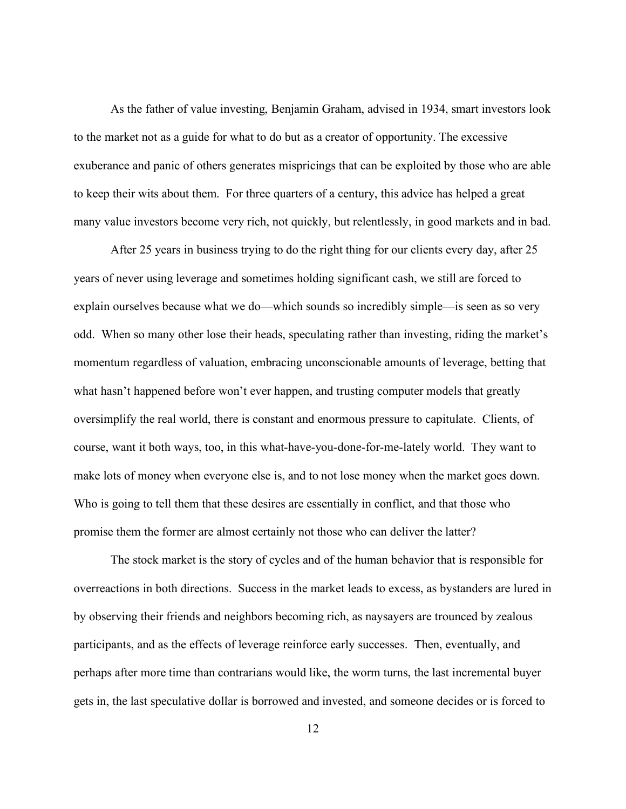As the father of value investing, Benjamin Graham, advised in 1934, smart investors look to the market not as a guide for what to do but as a creator of opportunity. The excessive exuberance and panic of others generates mispricings that can be exploited by those who are able to keep their wits about them. For three quarters of a century, this advice has helped a great many value investors become very rich, not quickly, but relentlessly, in good markets and in bad.

After 25 years in business trying to do the right thing for our clients every day, after 25 years of never using leverage and sometimes holding significant cash, we still are forced to explain ourselves because what we do—which sounds so incredibly simple—is seen as so very odd. When so many other lose their heads, speculating rather than investing, riding the market's momentum regardless of valuation, embracing unconscionable amounts of leverage, betting that what hasn't happened before won't ever happen, and trusting computer models that greatly oversimplify the real world, there is constant and enormous pressure to capitulate. Clients, of course, want it both ways, too, in this what-have-you-done-for-me-lately world. They want to make lots of money when everyone else is, and to not lose money when the market goes down. Who is going to tell them that these desires are essentially in conflict, and that those who promise them the former are almost certainly not those who can deliver the latter?

The stock market is the story of cycles and of the human behavior that is responsible for overreactions in both directions. Success in the market leads to excess, as bystanders are lured in by observing their friends and neighbors becoming rich, as naysayers are trounced by zealous participants, and as the effects of leverage reinforce early successes. Then, eventually, and perhaps after more time than contrarians would like, the worm turns, the last incremental buyer gets in, the last speculative dollar is borrowed and invested, and someone decides or is forced to